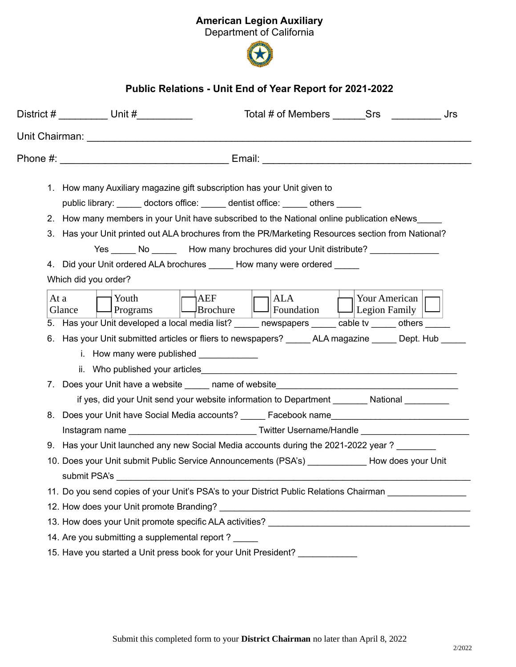## American Legion Auxiliary

Department of California



## Public Relations - Unit End of Year Report for 2021-2022

|      | District # __________ Unit #__________<br>Total # of Members Srs<br>Jrs                                                                                                  |
|------|--------------------------------------------------------------------------------------------------------------------------------------------------------------------------|
|      |                                                                                                                                                                          |
|      | Phone #: _________________________________ Email: ______________________________                                                                                         |
|      | 1. How many Auxiliary magazine gift subscription has your Unit given to<br>public library: doctors office: dentist office: others                                        |
|      | 2. How many members in your Unit have subscribed to the National online publication eNews                                                                                |
|      | 3. Has your Unit printed out ALA brochures from the PR/Marketing Resources section from National?                                                                        |
|      | Yes No How many brochures did your Unit distribute?                                                                                                                      |
|      | 4. Did your Unit ordered ALA brochures _____ How many were ordered                                                                                                       |
|      | Which did you order?                                                                                                                                                     |
| At a | <sup>1</sup> AEF<br>$\rightarrow$ Your American   r<br>Youth<br>ALA<br>$\Box$ Brochure<br>$\lfloor$ Foundation<br>$\Box$ Legion Family $\Box$<br>Glance<br>Programs      |
|      | 5. Has your Unit developed a local media list? ______ newspapers ______ cable tv _____ others _____                                                                      |
|      | 6. Has your Unit submitted articles or fliers to newspapers? _______ ALA magazine ______ Dept. Hub ____<br>i. How many were published ____________                       |
|      |                                                                                                                                                                          |
|      | 7. Does your Unit have a website ______ name of website_________________________                                                                                         |
|      | if yes, did your Unit send your website information to Department ________ National _________                                                                            |
|      | 8. Does your Unit have Social Media accounts? _____ Facebook name___________________________________                                                                     |
|      |                                                                                                                                                                          |
|      | 9. Has your Unit launched any new Social Media accounts during the 2021-2022 year ?<br>10. Does your Unit submit Public Service Announcements (PSA's) How does your Unit |
|      | submit PSA's                                                                                                                                                             |
|      |                                                                                                                                                                          |
|      |                                                                                                                                                                          |
|      |                                                                                                                                                                          |
|      | 14. Are you submitting a supplemental report?                                                                                                                            |
|      | 15. Have you started a Unit press book for your Unit President? _____________                                                                                            |